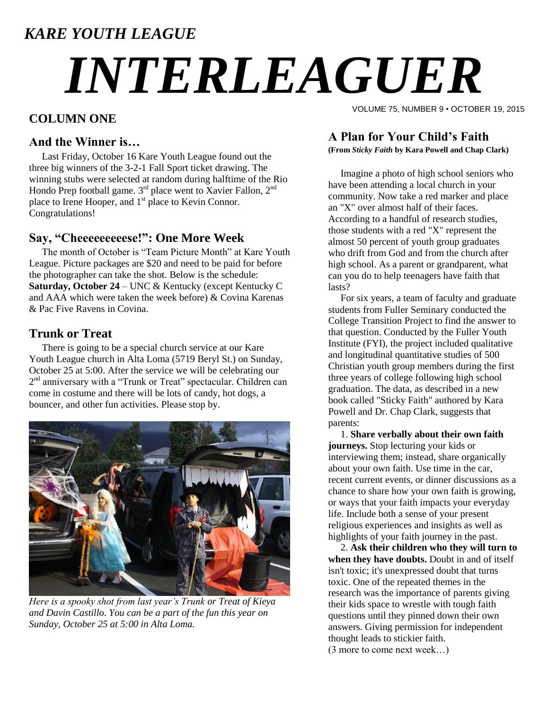### *KARE YOUTH LEAGUE*

# *INTERLEAGUER*

#### **COLUMN ONE**

#### **And the Winner is…**

Last Friday, October 16 Kare Youth League found out the three big winners of the 3-2-1 Fall Sport ticket drawing. The winning stubs were selected at random during halftime of the Rio Hondo Prep football game.  $3<sup>rd</sup>$  place went to Xavier Fallon,  $2<sup>nd</sup>$ place to Irene Hooper, and 1<sup>st</sup> place to Kevin Connor. Congratulations!

#### **Say, "Cheeeeeeeeese!": One More Week**

The month of October is "Team Picture Month" at Kare Youth League. Picture packages are \$20 and need to be paid for before the photographer can take the shot. Below is the schedule: **Saturday, October 24** – UNC & Kentucky (except Kentucky C and AAA which were taken the week before) & Covina Karenas & Pac Five Ravens in Covina.

#### **Trunk or Treat**

There is going to be a special church service at our Kare Youth League church in Alta Loma (5719 Beryl St.) on Sunday, October 25 at 5:00. After the service we will be celebrating our 2<sup>nd</sup> anniversary with a "Trunk or Treat" spectacular. Children can come in costume and there will be lots of candy, hot dogs, a bouncer, and other fun activities. Please stop by.



*Here is a spooky shot from last year's Trunk or Treat of Kieya and Davin Castillo. You can be a part of the fun this year on Sunday, October 25 at 5:00 in Alta Loma.*

VOLUME 75, NUMBER 9 • OCTOBER 19, 2015

#### **A Plan for Your Child's Faith**

**(From** *Sticky Faith* **by Kara Powell and Chap Clark)**

 Imagine a photo of high school seniors who have been attending a local church in your community. Now take a red marker and place an "X" over almost half of their faces. According to a handful of research studies, those students with a red "X" represent the almost 50 percent of youth group graduates who drift from God and from the church after high school. As a parent or grandparent, what can you do to help teenagers have faith that lasts?

 For six years, a team of faculty and graduate students from Fuller Seminary conducted the College Transition Project to find the answer to that question. Conducted by the Fuller Youth Institute (FYI), the project included qualitative and longitudinal quantitative studies of 500 Christian youth group members during the first three years of college following high school graduation. The data, as described in a new book called "Sticky Faith" authored by Kara Powell and Dr. Chap Clark, suggests that parents:

 1. **Share verbally about their own faith journeys.** Stop lecturing your kids or interviewing them; instead, share organically about your own faith. Use time in the car, recent current events, or dinner discussions as a chance to share how your own faith is growing, or ways that your faith impacts your everyday life. Include both a sense of your present religious experiences and insights as well as highlights of your faith journey in the past.

 2. **Ask their children who they will turn to when they have doubts.** Doubt in and of itself isn't toxic; it's unexpressed doubt that turns toxic. One of the repeated themes in the research was the importance of parents giving their kids space to wrestle with tough faith questions until they pinned down their own answers. Giving permission for independent thought leads to stickier faith. (3 more to come next week…)